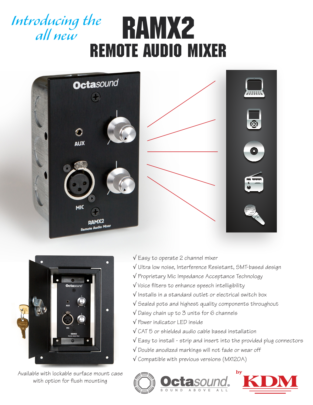# RAMx2 *Introducing the all new*  remote audio mixer





Available with lockable surface mount case with option for flush mounting

- √ Easy to operate 2 channel mixer
- √ Ultra low noise, Interference Resistant, SMT-based design
- √ Proprietary Mic Impedance Acceptance Technology
- √ Voice filters to enhance speech intelligibility
- √ Installs in a standard outlet or electrical switch box
- √ Sealed pots and highest quality components throughout
- √ Daisy chain up to 3 units for 6 channels
- √ Power indicator LED inside
- √ CAT 5 or shielded audio cable based installation
- √ Easy to install strip and insert into the provided plug connectors
- √ Double anodized markings will not fade or wear off
- √ Compatible with previous versions (MX120A)